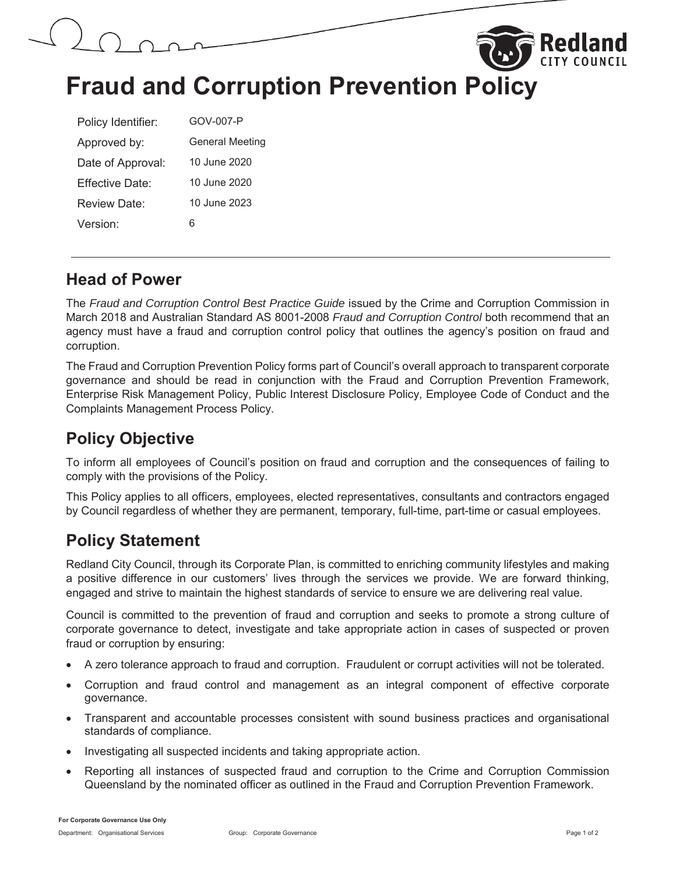



# **Fraud and Corruption Prevention Policy**

| Policy Identifier:   | GOV-007-P              |
|----------------------|------------------------|
| Approved by:         | <b>General Meeting</b> |
| Date of Approval:    | 10 June 2020           |
| Fffective Date:      | 10 June 2020           |
| Review Date:         | 10 June 2023           |
| Version <sup>.</sup> | 6                      |

#### **Head of Power**

The *Fraud and Corruption Control Best Practice Guide* issued by the Crime and Corruption Commission in March 2018 and Australian Standard AS 8001-2008 *Fraud and Corruption Control* both recommend that an agency must have a fraud and corruption control policy that outlines the agency's position on fraud and corruption.

The Fraud and Corruption Prevention Policy forms part of Council's overall approach to transparent corporate governance and should be read in conjunction with the Fraud and Corruption Prevention Framework, Enterprise Risk Management Policy, Public Interest Disclosure Policy, Employee Code of Conduct and the Complaints Management Process Policy.

## **Policy Objective**

To inform all employees of Council's position on fraud and corruption and the consequences of failing to comply with the provisions of the Policy.

This Policy applies to all officers, employees, elected representatives, consultants and contractors engaged by Council regardless of whether they are permanent, temporary, full-time, part-time or casual employees.

## **Policy Statement**

Redland City Council, through its Corporate Plan, is committed to enriching community lifestyles and making a positive difference in our customers' lives through the services we provide. We are forward thinking, engaged and strive to maintain the highest standards of service to ensure we are delivering real value.

Council is committed to the prevention of fraud and corruption and seeks to promote a strong culture of corporate governance to detect, investigate and take appropriate action in cases of suspected or proven fraud or corruption by ensuring:

- A zero tolerance approach to fraud and corruption. Fraudulent or corrupt activities will not be tolerated.
- Corruption and fraud control and management as an integral component of effective corporate governance.
- Transparent and accountable processes consistent with sound business practices and organisational standards of compliance.
- Investigating all suspected incidents and taking appropriate action.
- Reporting all instances of suspected fraud and corruption to the Crime and Corruption Commission Queensland by the nominated officer as outlined in the Fraud and Corruption Prevention Framework.